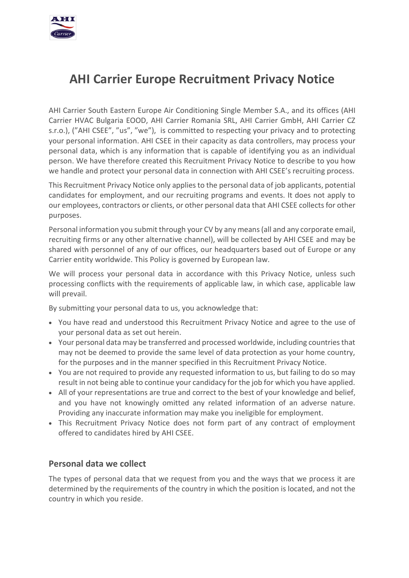

# **AHI Carrier Europe Recruitment Privacy Notice**

AHI Carrier South Eastern Europe Air Conditioning Single Member S.A., and its offices (AHI Carrier HVAC Bulgaria EOOD, AHI Carrier Romania SRL, AHI Carrier GmbH, AHI Carrier CZ s.r.o.), ("AHI CSEE", "us", "we"), is committed to respecting your privacy and to protecting your personal information. AHI CSEE in their capacity as data controllers, may process your personal data, which is any information that is capable of identifying you as an individual person. We have therefore created this Recruitment Privacy Notice to describe to you how we handle and protect your personal data in connection with AHI CSEE's recruiting process.

This Recruitment Privacy Notice only applies to the personal data of job applicants, potential candidates for employment, and our recruiting programs and events. It does not apply to our employees, contractors or clients, or other personal data that AHI CSEE collects for other purposes.

Personal information you submit through your CV by any means (all and any corporate email, recruiting firms or any other alternative channel), will be collected by AHI CSEE and may be shared with personnel of any of our offices, our headquarters based out of Europe or any Carrier entity worldwide. This Policy is governed by European law.

We will process your personal data in accordance with this Privacy Notice, unless such processing conflicts with the requirements of applicable law, in which case, applicable law will prevail.

By submitting your personal data to us, you acknowledge that:

- You have read and understood this Recruitment Privacy Notice and agree to the use of your personal data as set out herein.
- Your personal data may be transferred and processed worldwide, including countries that may not be deemed to provide the same level of data protection as your home country, for the purposes and in the manner specified in this Recruitment Privacy Notice.
- You are not required to provide any requested information to us, but failing to do so may result in not being able to continue your candidacy for the job for which you have applied.
- All of your representations are true and correct to the best of your knowledge and belief, and you have not knowingly omitted any related information of an adverse nature. Providing any inaccurate information may make you ineligible for employment.
- This Recruitment Privacy Notice does not form part of any contract of employment offered to candidates hired by AHI CSEE.

#### **Personal data we collect**

The types of personal data that we request from you and the ways that we process it are determined by the requirements of the country in which the position is located, and not the country in which you reside.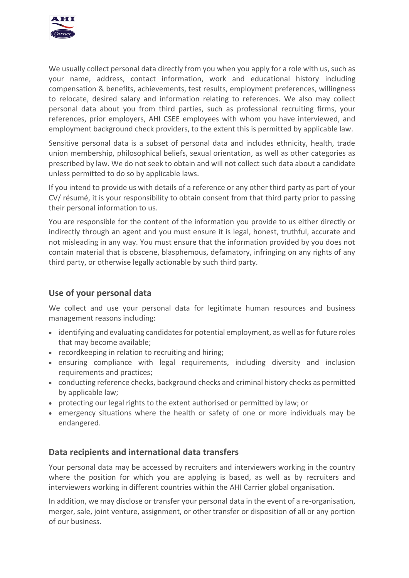

We usually collect personal data directly from you when you apply for a role with us, such as your name, address, contact information, work and educational history including compensation & benefits, achievements, test results, employment preferences, willingness to relocate, desired salary and information relating to references. We also may collect personal data about you from third parties, such as professional recruiting firms, your references, prior employers, AHI CSEE employees with whom you have interviewed, and employment background check providers, to the extent this is permitted by applicable law.

Sensitive personal data is a subset of personal data and includes ethnicity, health, trade union membership, philosophical beliefs, sexual orientation, as well as other categories as prescribed by law. We do not seek to obtain and will not collect such data about a candidate unless permitted to do so by applicable laws.

If you intend to provide us with details of a reference or any other third party as part of your CV/ résumé, it is your responsibility to obtain consent from that third party prior to passing their personal information to us.

You are responsible for the content of the information you provide to us either directly or indirectly through an agent and you must ensure it is legal, honest, truthful, accurate and not misleading in any way. You must ensure that the information provided by you does not contain material that is obscene, blasphemous, defamatory, infringing on any rights of any third party, or otherwise legally actionable by such third party.

# **Use of your personal data**

We collect and use your personal data for legitimate human resources and business management reasons including:

- identifying and evaluating candidates for potential employment, as well as for future roles that may become available;
- recordkeeping in relation to recruiting and hiring;
- ensuring compliance with legal requirements, including diversity and inclusion requirements and practices;
- conducting reference checks, background checks and criminal history checks as permitted by applicable law;
- protecting our legal rights to the extent authorised or permitted by law; or
- emergency situations where the health or safety of one or more individuals may be endangered.

#### **Data recipients and international data transfers**

Your personal data may be accessed by recruiters and interviewers working in the country where the position for which you are applying is based, as well as by recruiters and interviewers working in different countries within the AHI Carrier global organisation.

In addition, we may disclose or transfer your personal data in the event of a re-organisation, merger, sale, joint venture, assignment, or other transfer or disposition of all or any portion of our business.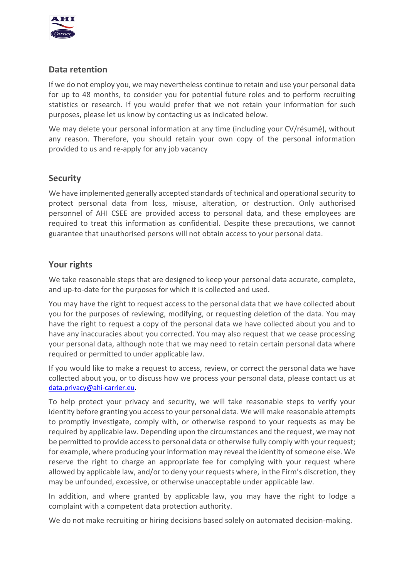

## **Data retention**

If we do not employ you, we may nevertheless continue to retain and use your personal data for up to 48 months, to consider you for potential future roles and to perform recruiting statistics or research. If you would prefer that we not retain your information for such purposes, please let us know by contacting us as indicated below.

We may delete your personal information at any time (including your CV/résumé), without any reason. Therefore, you should retain your own copy of the personal information provided to us and re-apply for any job vacancy

#### **Security**

We have implemented generally accepted standards of technical and operational security to protect personal data from loss, misuse, alteration, or destruction. Only authorised personnel of AHI CSEE are provided access to personal data, and these employees are required to treat this information as confidential. Despite these precautions, we cannot guarantee that unauthorised persons will not obtain access to your personal data.

## **Your rights**

We take reasonable steps that are designed to keep your personal data accurate, complete, and up-to-date for the purposes for which it is collected and used.

You may have the right to request access to the personal data that we have collected about you for the purposes of reviewing, modifying, or requesting deletion of the data. You may have the right to request a copy of the personal data we have collected about you and to have any inaccuracies about you corrected. You may also request that we cease processing your personal data, although note that we may need to retain certain personal data where required or permitted to under applicable law.

If you would like to make a request to access, review, or correct the personal data we have collected about you, or to discuss how we process your personal data, please contact us at [data.privacy@ahi-carrier.eu.](mailto:data.privacy@ahi-carrier.eu)

To help protect your privacy and security, we will take reasonable steps to verify your identity before granting you access to your personal data. We will make reasonable attempts to promptly investigate, comply with, or otherwise respond to your requests as may be required by applicable law. Depending upon the circumstances and the request, we may not be permitted to provide access to personal data or otherwise fully comply with your request; for example, where producing your information may reveal the identity of someone else. We reserve the right to charge an appropriate fee for complying with your request where allowed by applicable law, and/or to deny your requests where, in the Firm's discretion, they may be unfounded, excessive, or otherwise unacceptable under applicable law.

In addition, and where granted by applicable law, you may have the right to lodge a complaint with a competent data protection authority.

We do not make recruiting or hiring decisions based solely on automated decision-making.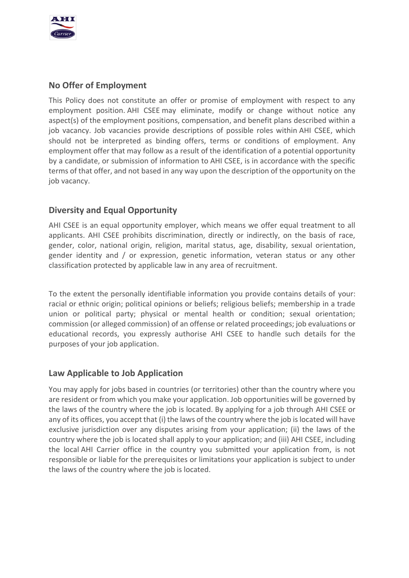

## **No Offer of Employment**

This Policy does not constitute an offer or promise of employment with respect to any employment position. AHI CSEE may eliminate, modify or change without notice any aspect(s) of the employment positions, compensation, and benefit plans described within a job vacancy. Job vacancies provide descriptions of possible roles within AHI CSEE, which should not be interpreted as binding offers, terms or conditions of employment. Any employment offer that may follow as a result of the identification of a potential opportunity by a candidate, or submission of information to AHI CSEE, is in accordance with the specific terms of that offer, and not based in any way upon the description of the opportunity on the job vacancy.

## **Diversity and Equal Opportunity**

AHI CSEE is an equal opportunity employer, which means we offer equal treatment to all applicants. AHI CSEE prohibits discrimination, directly or indirectly, on the basis of race, gender, color, national origin, religion, marital status, age, disability, sexual orientation, gender identity and / or expression, genetic information, veteran status or any other classification protected by applicable law in any area of recruitment.

To the extent the personally identifiable information you provide contains details of your: racial or ethnic origin; political opinions or beliefs; religious beliefs; membership in a trade union or political party; physical or mental health or condition; sexual orientation; commission (or alleged commission) of an offense or related proceedings; job evaluations or educational records, you expressly authorise AHI CSEE to handle such details for the purposes of your job application.

#### **Law Applicable to Job Application**

You may apply for jobs based in countries (or territories) other than the country where you are resident or from which you make your application. Job opportunities will be governed by the laws of the country where the job is located. By applying for a job through AHI CSEE or any of its offices, you accept that (i) the laws of the country where the job is located will have exclusive jurisdiction over any disputes arising from your application; (ii) the laws of the country where the job is located shall apply to your application; and (iii) AHI CSEE, including the local AHI Carrier office in the country you submitted your application from, is not responsible or liable for the prerequisites or limitations your application is subject to under the laws of the country where the job is located.